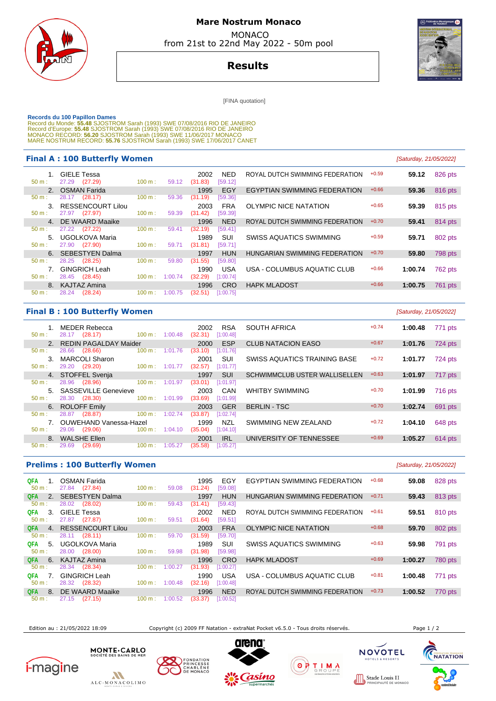

# **Mare Nostrum Monaco**  MONACO

from 21st to 22nd May 2022 - 50m pool



# **Results**

[FINA quotation]

Records du 100 Papillon Dames<br>Record du Monde: 55.48 SJOSTROM Sarah (1993) SWE 07/08/2016 RIO DE JANEIRO<br>Record d'Europe: 55.48 SJOSTROM Sarah (1993) SWE 07/08/2016 RIO DE JANEIRO<br>Record d'Europe: 55.48 SJOSTROM Sarah (199

#### **Final A : 100 Butterfly Women Example 21/05/2022 [Saturday, 21/05/2022]**

|                     | --- <del>-</del> - - - - <del>- - - - - - - -</del> |                   |         |                 |                       |                                     |         |         |         |
|---------------------|-----------------------------------------------------|-------------------|---------|-----------------|-----------------------|-------------------------------------|---------|---------|---------|
| 50 m:               | <b>GIELE Tessa</b><br>27.29 (27.29)                 | 100 m:            | 59.12   | 2002<br>(31.83) | NED<br>[59.12]        | ROYAL DUTCH SWIMMING FEDERATION     | $+0.59$ | 59.12   | 826 pts |
|                     | 2. OSMAN Farida                                     |                   |         | 1995            | EGY                   | <b>EGYPTIAN SWIMMING FEDERATION</b> | $+0.66$ | 59.36   | 816 pts |
| 50 m:               | 28.17 (28.17)                                       | 100 m:            | 59.36   | (31.19)         | [59.36]               |                                     |         |         |         |
| $3_{-}$<br>$50 m$ : | <b>RESSENCOURT Lilou</b><br>27.97 (27.97)           | 100 m:            | 59.39   | 2003<br>(31.42) | <b>FRA</b><br>[59.39] | OLYMPIC NICE NATATION               | $+0.65$ | 59.39   | 815 pts |
| 4 <sup>1</sup>      | DE WAARD Maaike                                     |                   |         | 1996            | <b>NED</b>            | ROYAL DUTCH SWIMMING FEDERATION     | $+0.70$ | 59.41   | 814 pts |
| $50 m$ :            | 27.22<br>(27.22)                                    | 100 m:            | 59.41   | (32.19)         | [59.41]               |                                     |         |         |         |
| 5.                  | UGOLKOVA Maria                                      |                   |         | 1989            | SUI                   | SWISS AQUATICS SWIMMING             | $+0.59$ | 59.71   | 802 pts |
| 50 m:               | 27.90 (27.90)                                       | 100 m:            | 59.71   | (31.81)         | [59.71]               |                                     |         |         |         |
|                     | 6. SEBESTYEN Dalma                                  |                   |         | 1997            | <b>HUN</b>            | HUNGARIAN SWIMMING FEDERATION       | $+0.70$ | 59.80   | 798 pts |
| 50 m:               | 28.25<br>(28.25)                                    | 100 m:            | 59.80   | (31.55)         | [59.80]               |                                     |         |         |         |
|                     | <b>GINGRICH Leah</b>                                |                   |         | 1990            | <b>USA</b>            | USA - COLUMBUS AQUATIC CLUB         | $+0.66$ | 1:00.74 | 762 pts |
| $50 m$ :            | 28.45 (28.45)                                       | $100 \text{ m}$ : | 1:00.74 | (32.29)         | [1:00.74]             |                                     |         |         |         |
|                     | 8. KAJTAZ Amina                                     |                   |         | 1996            | <b>CRO</b>            | <b>HAPK MLADOST</b>                 | $+0.66$ | 1:00.75 | 761 pts |
| $50 m$ :            | 28.24 (28.24)                                       | 100 m:            | 1:00.75 | (32.51)         | [1:00.75]             |                                     |         |         |         |
|                     |                                                     |                   |         |                 |                       |                                     |         |         |         |

### **Final B : 100 Butterfly Women** [Saturday, 21/05/2022]

| $50 m$ :                       | <b>MEDER Rebecca</b><br>28.17<br>(28.17) | 100 m: 1:00.48               | <b>RSA</b><br>2002<br>[1:00.48]<br>(32.31) | <b>SOUTH AFRICA</b>                  | $+0.74$ | 1:00.48 | 771 pts        |
|--------------------------------|------------------------------------------|------------------------------|--------------------------------------------|--------------------------------------|---------|---------|----------------|
| $2^{\circ}$                    | <b>REDIN PAGALDAY Maider</b>             |                              | <b>ESP</b><br>2000                         | <b>CLUB NATACION EASO</b>            | $+0.67$ | 1:01.76 | 724 pts        |
| $50 m$ :                       | 28.66<br>(28.66)                         | 100 m:<br>1:01.76            | (33.10)<br>[1:01.76]                       |                                      |         |         |                |
| $\mathbf{3}$                   | <b>MARCOLI Sharon</b>                    |                              | SUI<br>2001                                | SWISS AQUATICS TRAINING BASE         | $+0.72$ | 1:01.77 | 724 pts        |
| $50 m$ :                       | 29.20 (29.20)                            | 1:01.77<br>$100 \text{ m}$ : | (32.57)<br>[1:01.77]                       |                                      |         |         |                |
| 4.                             | STOFFEL Svenja                           |                              | <b>SUI</b><br>1997                         | <b>SCHWIMMCLUB USTER WALLISELLEN</b> | $+0.63$ | 1:01.97 | 717 pts        |
| 50 m:                          | (28.96)<br>28.96                         | 1:01.97<br>100 m:            | (33.01)<br>[1:01.97]                       |                                      |         |         |                |
| $5 -$                          | <b>SASSEVILLE Genevieve</b>              |                              | CAN<br>2003                                | <b>WHITBY SWIMMING</b>               | $+0.70$ | 1:01.99 | <b>716 pts</b> |
| $50 m$ :                       | 28.30 (28.30)                            | $100 \text{ m}$ :<br>1:01.99 | (33.69)<br>[1:01.99]                       |                                      |         |         |                |
| 6.                             | <b>ROLOFF Emily</b>                      |                              | <b>GER</b><br>2003                         | <b>BERLIN - TSC</b>                  | $+0.70$ | 1:02.74 | 691 pts        |
| $50 m$ :                       | (28.87)<br>28.87                         | 1:02.74<br>$100 \text{ m}$ : | (33.87)<br>[1:02.74]                       |                                      |         |         |                |
| $7_{\scriptscriptstyle{\sim}}$ | <b>OUWEHAND Vanessa-Hazel</b>            |                              | <b>NZL</b><br>1999                         | SWIMMING NEW ZEALAND                 | $+0.72$ | 1:04.10 | 648 pts        |
| $50 m$ :                       | 29.06<br>(29.06)                         | 1:04.10<br>$100 \text{ m}$ : | (35.04)<br>[1:04.10]                       |                                      |         |         |                |
| 8.                             | <b>WALSHE Ellen</b>                      |                              | <b>IRL</b><br>2001                         | UNIVERSITY OF TENNESSEE              | $+0.69$ | 1:05.27 | 614 pts        |
| 50 m:                          | (29.69)<br>29.69                         | 1:05.27<br>100 m:            | 1:05.27<br>(35.58)                         |                                      |         |         |                |
|                                |                                          |                              |                                            |                                      |         |         |                |

| <b>Prelims: 100 Butterfly Women</b> | [Saturday, 21/05/2022]               |                   |         |                 |                |                                 |         |         |                |
|-------------------------------------|--------------------------------------|-------------------|---------|-----------------|----------------|---------------------------------|---------|---------|----------------|
| QFA<br>50 m:                        | <b>OSMAN Farida</b><br>27.84 (27.84) | 100 m:            | 59.08   | 1995<br>(31.24) | EGY<br>[59.08] | EGYPTIAN SWIMMING FEDERATION    | $+0.68$ | 59.08   | 828 pts        |
| 2 <sub>1</sub><br>QFA.              | <b>SEBESTYEN Dalma</b>               |                   |         | 1997            | <b>HUN</b>     | HUNGARIAN SWIMMING FEDERATION   | $+0.71$ | 59.43   | 813 pts        |
| 50 m:                               | (28.02)<br>28.02                     | 100 m:            | 59.43   | (31.41)         | [59.43]        |                                 |         |         |                |
| 3.<br>QFA.                          | <b>GIELE Tessa</b>                   |                   |         | 2002            | <b>NED</b>     | ROYAL DUTCH SWIMMING FEDERATION | $+0.61$ | 59.51   | 810 pts        |
| 50 m:                               | (27.87)<br>27.87                     | 100 m:            | 59.51   | (31.64)         | [59.51]        |                                 |         |         |                |
| <b>QFA</b><br>4 <sup>1</sup>        | <b>RESSENCOURT Lilou</b>             |                   |         | 2003            | <b>FRA</b>     | <b>OLYMPIC NICE NATATION</b>    | $+0.68$ | 59.70   | 802 pts        |
| 50 m:                               | 28.11 (28.11)                        | 100 m:            | 59.70   | (31.59)         | [59.70]        |                                 |         |         |                |
| QFA<br>5.                           | UGOLKOVA Maria                       |                   |         | 1989            | SUI            | SWISS AQUATICS SWIMMING         | $+0.63$ | 59.98   | 791 pts        |
| 50 m:                               | 28.00 (28.00)                        | 100 m:            | 59.98   | (31.98)         | [59.98]        |                                 |         |         |                |
| QFA.<br>6.                          | KAJTAZ Amina                         |                   |         | 1996            | <b>CRO</b>     | <b>HAPK MLADOST</b>             | $+0.69$ | 1:00.27 | <b>780 pts</b> |
| 50 m:                               | 28.34 (28.34)                        | 100 m:            | 1:00.27 | (31.93)         | [1:00.27]      |                                 |         |         |                |
| QFA.                                | <b>GINGRICH Leah</b>                 |                   |         | 1990            | <b>USA</b>     | USA - COLUMBUS AQUATIC CLUB     | $+0.81$ | 1:00.48 | 771 pts        |
| 50 m:                               | (28.32)<br>28.32                     | $100 \text{ m}$ : | 1:00.48 | (32.16)         | [1:00.48]      |                                 |         |         |                |
| QFA.<br>8.                          | DE WAARD Maaike                      |                   |         | 1996            | <b>NED</b>     | ROYAL DUTCH SWIMMING FEDERATION | $+0.73$ | 1:00.52 | 770 pts        |
| $50 m$ :                            | 27.15<br>(27.15)                     | 100 m:            | 1:00.52 | (33.37)         | [1:00.52]      |                                 |         |         |                |

Edition au : 21/05/2022 18:09 Copyright (c) 2009 FF Natation - extraNat Pocket v6.5.0 - Tous droits réservés. Page 1 / 2

**NOVOTEL** 

**NACC** 

TELS & RESO



ALC-MONACOLIMO

MONTE . CARLO